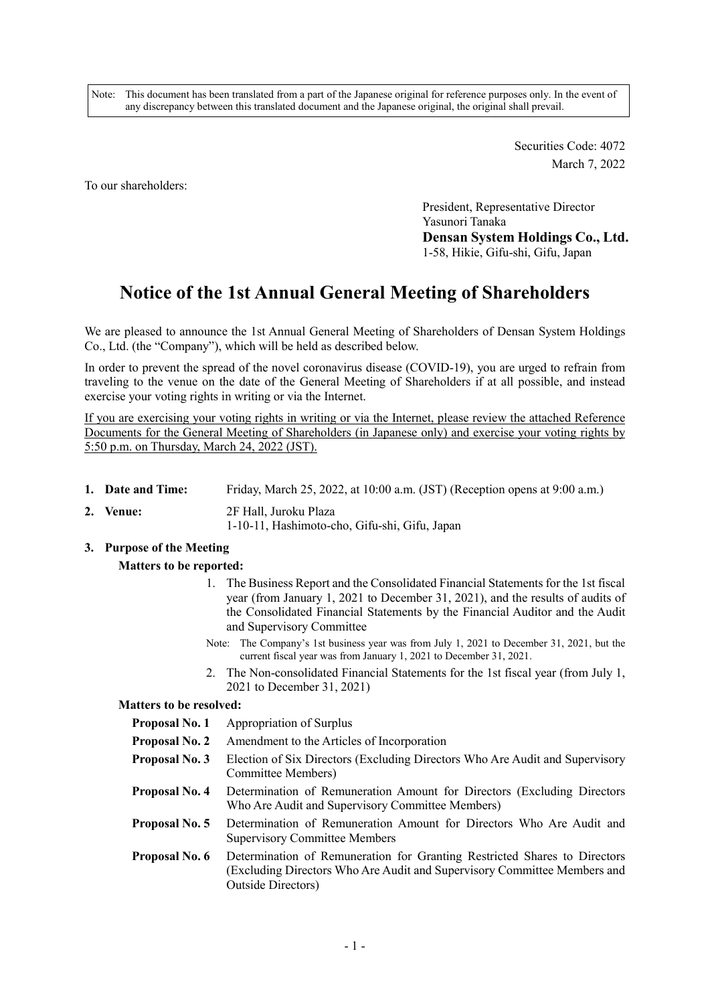Note: This document has been translated from a part of the Japanese original for reference purposes only. In the event of any discrepancy between this translated document and the Japanese original, the original shall prevail.

> Securities Code: 4072 March 7, 2022

To our shareholders:

President, Representative Director Yasunori Tanaka **Densan System Holdings Co., Ltd.**  1-58, Hikie, Gifu-shi, Gifu, Japan

# **Notice of the 1st Annual General Meeting of Shareholders**

We are pleased to announce the 1st Annual General Meeting of Shareholders of Densan System Holdings Co., Ltd. (the "Company"), which will be held as described below.

In order to prevent the spread of the novel coronavirus disease (COVID-19), you are urged to refrain from traveling to the venue on the date of the General Meeting of Shareholders if at all possible, and instead exercise your voting rights in writing or via the Internet.

If you are exercising your voting rights in writing or via the Internet, please review the attached Reference Documents for the General Meeting of Shareholders (in Japanese only) and exercise your voting rights by 5:50 p.m. on Thursday, March 24, 2022 (JST).

- **1. Date and Time:** Friday, March 25, 2022, at 10:00 a.m. (JST) (Reception opens at 9:00 a.m.)
- **2. Venue:** 2F Hall, Juroku Plaza

1-10-11, Hashimoto-cho, Gifu-shi, Gifu, Japan

## **3. Purpose of the Meeting**

## **Matters to be reported:**

- 1. The Business Report and the Consolidated Financial Statements for the 1st fiscal year (from January 1, 2021 to December 31, 2021), and the results of audits of the Consolidated Financial Statements by the Financial Auditor and the Audit and Supervisory Committee
- Note: The Company's 1st business year was from July 1, 2021 to December 31, 2021, but the current fiscal year was from January 1, 2021 to December 31, 2021.
- 2. The Non-consolidated Financial Statements for the 1st fiscal year (from July 1, 2021 to December 31, 2021)

#### **Matters to be resolved:**

- **Proposal No. 1** Appropriation of Surplus
- **Proposal No. 2** Amendment to the Articles of Incorporation
- **Proposal No. 3** Election of Six Directors (Excluding Directors Who Are Audit and Supervisory Committee Members)
- **Proposal No. 4** Determination of Remuneration Amount for Directors (Excluding Directors Who Are Audit and Supervisory Committee Members)
- **Proposal No. 5** Determination of Remuneration Amount for Directors Who Are Audit and Supervisory Committee Members
- **Proposal No. 6** Determination of Remuneration for Granting Restricted Shares to Directors (Excluding Directors Who Are Audit and Supervisory Committee Members and Outside Directors)